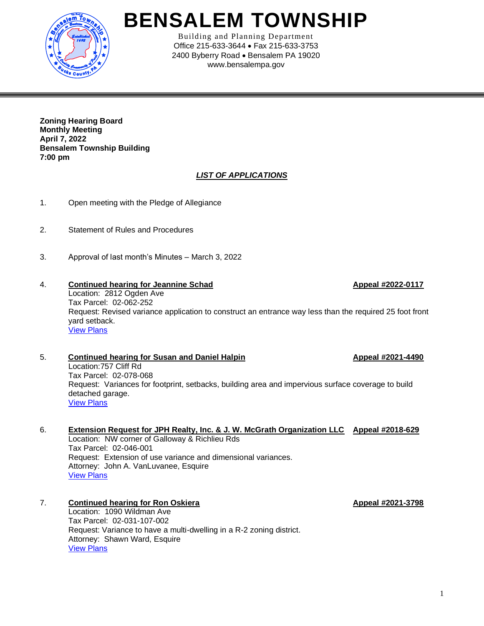

# **BENSALEM TOWNSHIP**

Building and Planning Department Office 215-633-3644 • Fax 215-633-3753 2400 Byberry Road • Bensalem PA 19020 www.bensalempa.gov

**Zoning Hearing Board Monthly Meeting April 7, 2022 Bensalem Township Building 7:00 pm**

## *LIST OF APPLICATIONS*

- 1. Open meeting with the Pledge of Allegiance
- 2. Statement of Rules and Procedures
- 3. Approval of last month's Minutes March 3, 2022

### 4. **Continued hearing for Jeannine Schad Appeal #2022-0117** Location: 2812 Ogden Ave Tax Parcel: 02-062-252 Request: Revised variance application to construct an entrance way less than the required 25 foot front yard setback. [View Plans](https://www.bensalempa.gov/uploads/2/4/9/3/24936441/ogden_ave_2812_-_zhb_appeal_amended.pdf)

### 5. **Continued hearing for Susan and Daniel Halpin Appeal #2021-4490** Location:757 Cliff Rd Tax Parcel: 02-078-068 Request: Variances for footprint, setbacks, building area and impervious surface coverage to build detached garage. [View Plans](https://www.bensalempa.gov/uploads/2/4/9/3/24936441/cliff_rd_757_-_zhb_appeal.pdf)

### 6. **Extension Request for JPH Realty, Inc. & J. W. McGrath Organization LLC Appeal #2018-629** Location: NW corner of Galloway & Richlieu Rds Tax Parcel: 02-046-001 Request: Extension of use variance and dimensional variances. Attorney: John A. VanLuvanee, Esquire [View Plans](https://www.bensalempa.gov/uploads/2/4/9/3/24936441/galloway___richlieu_rd_02-046-001__extension_request_-_zhb_.pdf)

### 7. **Continued hearing for Ron Oskiera Appeal #2021-3798** Location: 1090 Wildman Ave Tax Parcel: 02-031-107-002 Request: Variance to have a multi-dwelling in a R-2 zoning district. Attorney: Shawn Ward, Esquire [View Plans](https://www.bensalempa.gov/uploads/2/4/9/3/24936441/wildman_ave_1090_-_zhb_appeal.pdf)